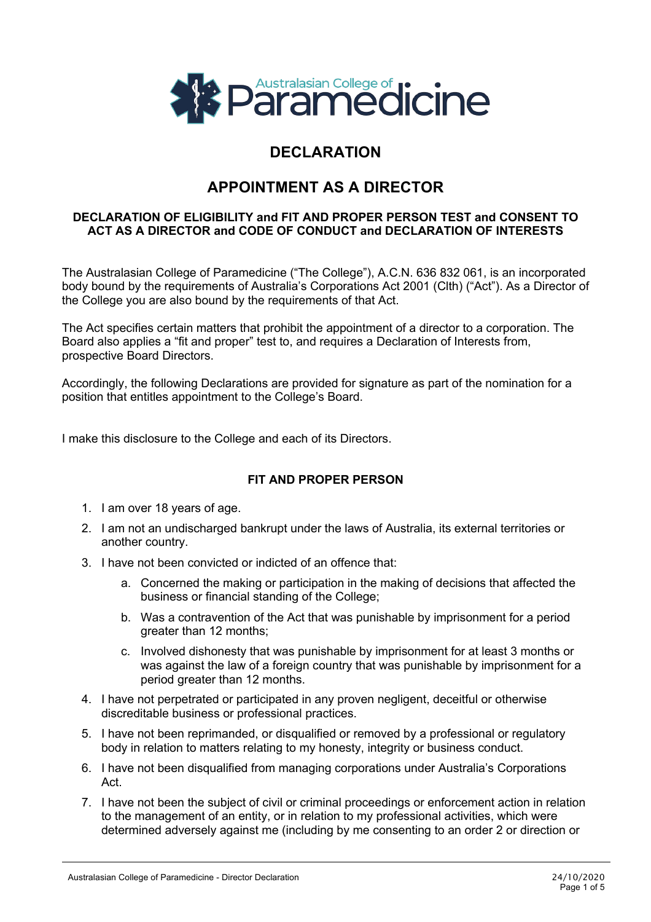

# **DECLARATION**

## **APPOINTMENT AS A DIRECTOR**

#### **DECLARATION OF ELIGIBILITY and FIT AND PROPER PERSON TEST and CONSENT TO ACT AS A DIRECTOR and CODE OF CONDUCT and DECLARATION OF INTERESTS**

The Australasian College of Paramedicine ("The College"), A.C.N. 636 832 061, is an incorporated body bound by the requirements of Australia's Corporations Act 2001 (Clth) ("Act"). As a Director of the College you are also bound by the requirements of that Act.

The Act specifies certain matters that prohibit the appointment of a director to a corporation. The Board also applies a "fit and proper" test to, and requires a Declaration of Interests from, prospective Board Directors.

Accordingly, the following Declarations are provided for signature as part of the nomination for a position that entitles appointment to the College's Board.

I make this disclosure to the College and each of its Directors.

#### **FIT AND PROPER PERSON**

- 1. I am over 18 years of age.
- 2. I am not an undischarged bankrupt under the laws of Australia, its external territories or another country.
- 3. I have not been convicted or indicted of an offence that:
	- a. Concerned the making or participation in the making of decisions that affected the business or financial standing of the College;
	- b. Was a contravention of the Act that was punishable by imprisonment for a period greater than 12 months;
	- c. Involved dishonesty that was punishable by imprisonment for at least 3 months or was against the law of a foreign country that was punishable by imprisonment for a period greater than 12 months.
- 4. I have not perpetrated or participated in any proven negligent, deceitful or otherwise discreditable business or professional practices.
- 5. I have not been reprimanded, or disqualified or removed by a professional or regulatory body in relation to matters relating to my honesty, integrity or business conduct.
- 6. I have not been disqualified from managing corporations under Australia's Corporations Act.
- 7. I have not been the subject of civil or criminal proceedings or enforcement action in relation to the management of an entity, or in relation to my professional activities, which were determined adversely against me (including by me consenting to an order 2 or direction or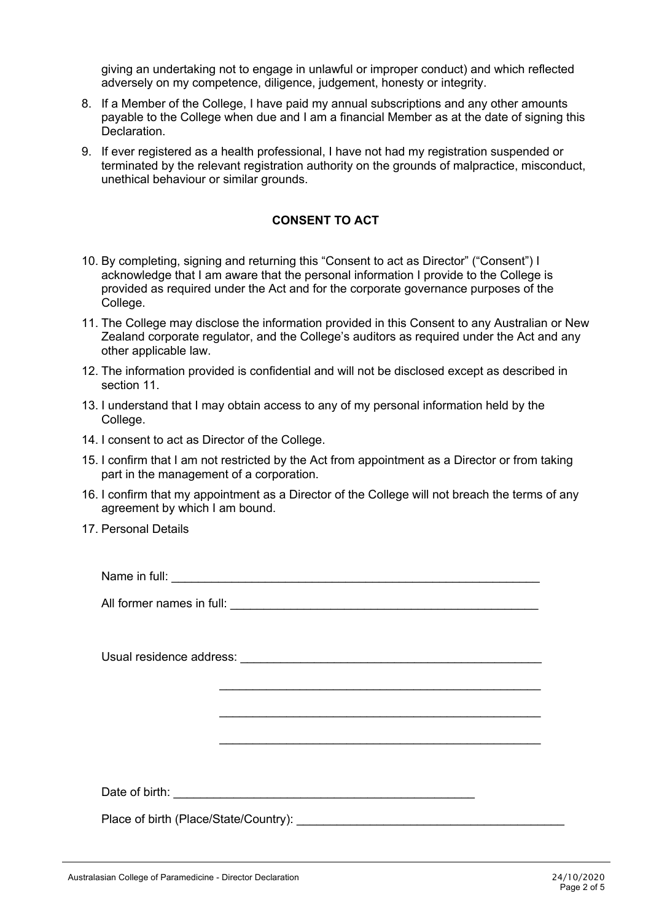giving an undertaking not to engage in unlawful or improper conduct) and which reflected adversely on my competence, diligence, judgement, honesty or integrity.

- 8. If a Member of the College, I have paid my annual subscriptions and any other amounts payable to the College when due and I am a financial Member as at the date of signing this Declaration.
- 9. If ever registered as a health professional, I have not had my registration suspended or terminated by the relevant registration authority on the grounds of malpractice, misconduct, unethical behaviour or similar grounds.

#### **CONSENT TO ACT**

- 10. By completing, signing and returning this "Consent to act as Director" ("Consent") I acknowledge that I am aware that the personal information I provide to the College is provided as required under the Act and for the corporate governance purposes of the College.
- 11. The College may disclose the information provided in this Consent to any Australian or New Zealand corporate regulator, and the College's auditors as required under the Act and any other applicable law.
- 12. The information provided is confidential and will not be disclosed except as described in section 11
- 13. I understand that I may obtain access to any of my personal information held by the College.
- 14. I consent to act as Director of the College.
- 15. I confirm that I am not restricted by the Act from appointment as a Director or from taking part in the management of a corporation.
- 16. I confirm that my appointment as a Director of the College will not breach the terms of any agreement by which I am bound.

 $\mathcal{L}_\text{max}$  and  $\mathcal{L}_\text{max}$  and  $\mathcal{L}_\text{max}$  and  $\mathcal{L}_\text{max}$ 

 $\mathcal{L}_\text{max}$  and  $\mathcal{L}_\text{max}$  and  $\mathcal{L}_\text{max}$  and  $\mathcal{L}_\text{max}$ 

 $\mathcal{L}_\text{max}$  and  $\mathcal{L}_\text{max}$  and  $\mathcal{L}_\text{max}$  and  $\mathcal{L}_\text{max}$ 

17. Personal Details

Name in full:  $\blacksquare$ 

All former names in full: \_\_\_\_\_\_\_\_\_\_\_\_\_\_\_\_\_\_\_\_\_\_\_\_\_\_\_\_\_\_\_\_\_\_\_\_\_\_\_\_\_\_\_\_\_\_

Usual residence address: \_\_\_\_\_\_\_\_\_\_\_\_\_\_\_\_\_\_\_\_\_\_\_\_\_\_\_\_\_\_\_\_\_\_\_\_\_\_\_\_\_\_\_\_\_

Date of birth:  $\Box$ 

Place of birth (Place/State/Country):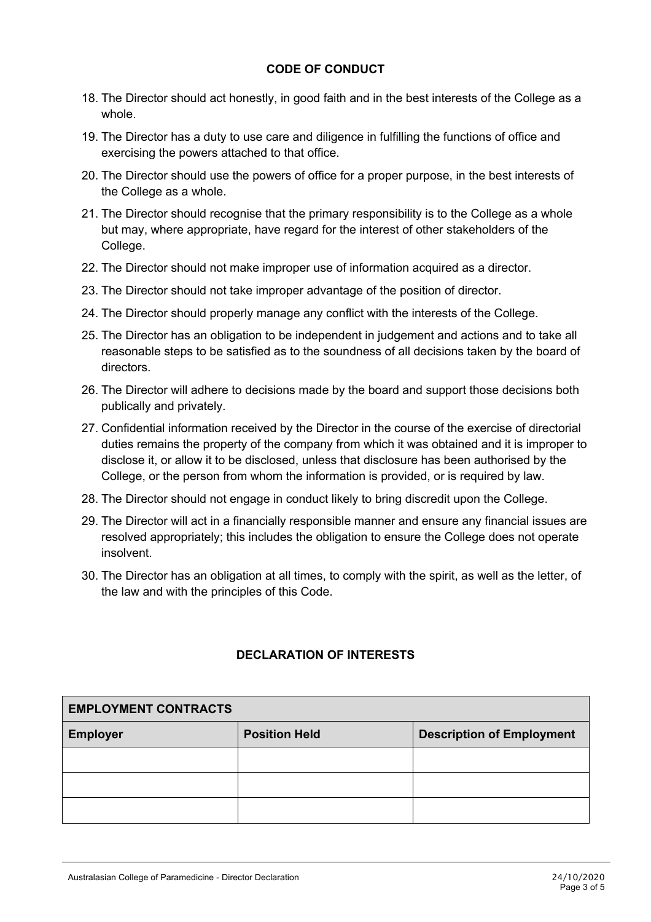#### **CODE OF CONDUCT**

- 18. The Director should act honestly, in good faith and in the best interests of the College as a whole.
- 19. The Director has a duty to use care and diligence in fulfilling the functions of office and exercising the powers attached to that office.
- 20. The Director should use the powers of office for a proper purpose, in the best interests of the College as a whole.
- 21. The Director should recognise that the primary responsibility is to the College as a whole but may, where appropriate, have regard for the interest of other stakeholders of the College.
- 22. The Director should not make improper use of information acquired as a director.
- 23. The Director should not take improper advantage of the position of director.
- 24. The Director should properly manage any conflict with the interests of the College.
- 25. The Director has an obligation to be independent in judgement and actions and to take all reasonable steps to be satisfied as to the soundness of all decisions taken by the board of directors.
- 26. The Director will adhere to decisions made by the board and support those decisions both publically and privately.
- 27. Confidential information received by the Director in the course of the exercise of directorial duties remains the property of the company from which it was obtained and it is improper to disclose it, or allow it to be disclosed, unless that disclosure has been authorised by the College, or the person from whom the information is provided, or is required by law.
- 28. The Director should not engage in conduct likely to bring discredit upon the College.
- 29. The Director will act in a financially responsible manner and ensure any financial issues are resolved appropriately; this includes the obligation to ensure the College does not operate insolvent.
- 30. The Director has an obligation at all times, to comply with the spirit, as well as the letter, of the law and with the principles of this Code.

### **DECLARATION OF INTERESTS**

| <b>EMPLOYMENT CONTRACTS</b> |                      |                                  |  |
|-----------------------------|----------------------|----------------------------------|--|
| <b>Employer</b>             | <b>Position Held</b> | <b>Description of Employment</b> |  |
|                             |                      |                                  |  |
|                             |                      |                                  |  |
|                             |                      |                                  |  |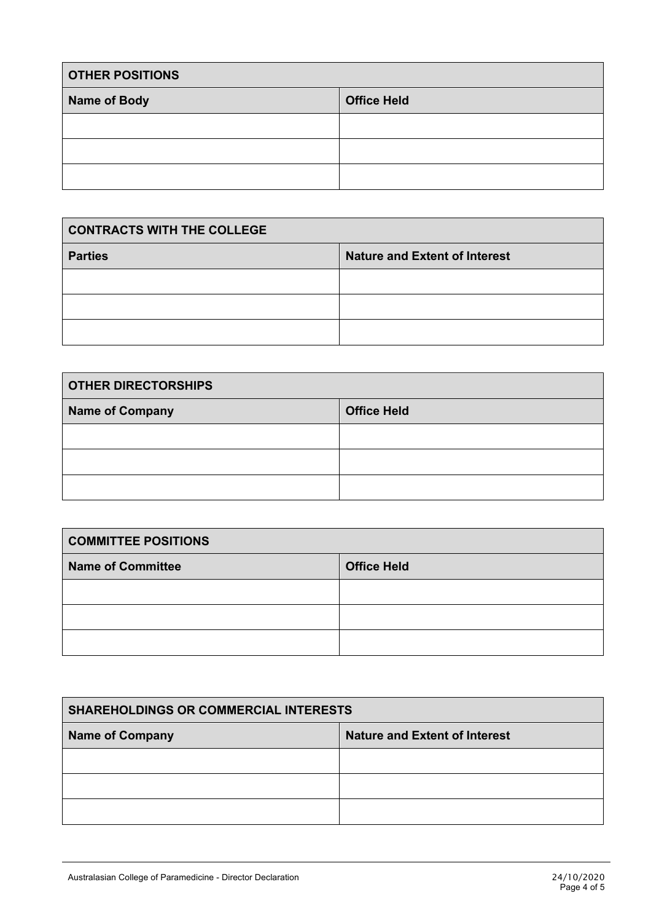| <b>OTHER POSITIONS</b> |                    |
|------------------------|--------------------|
| <b>Name of Body</b>    | <b>Office Held</b> |
|                        |                    |
|                        |                    |
|                        |                    |

| <b>CONTRACTS WITH THE COLLEGE</b> |                                      |
|-----------------------------------|--------------------------------------|
| <b>Parties</b>                    | <b>Nature and Extent of Interest</b> |
|                                   |                                      |
|                                   |                                      |
|                                   |                                      |

| <b>OTHER DIRECTORSHIPS</b> |                    |  |
|----------------------------|--------------------|--|
| <b>Name of Company</b>     | <b>Office Held</b> |  |
|                            |                    |  |
|                            |                    |  |
|                            |                    |  |

| <b>COMMITTEE POSITIONS</b> |                    |  |
|----------------------------|--------------------|--|
| <b>Name of Committee</b>   | <b>Office Held</b> |  |
|                            |                    |  |
|                            |                    |  |
|                            |                    |  |

| <b>SHAREHOLDINGS OR COMMERCIAL INTERESTS</b> |                                      |  |
|----------------------------------------------|--------------------------------------|--|
| <b>Name of Company</b>                       | <b>Nature and Extent of Interest</b> |  |
|                                              |                                      |  |
|                                              |                                      |  |
|                                              |                                      |  |